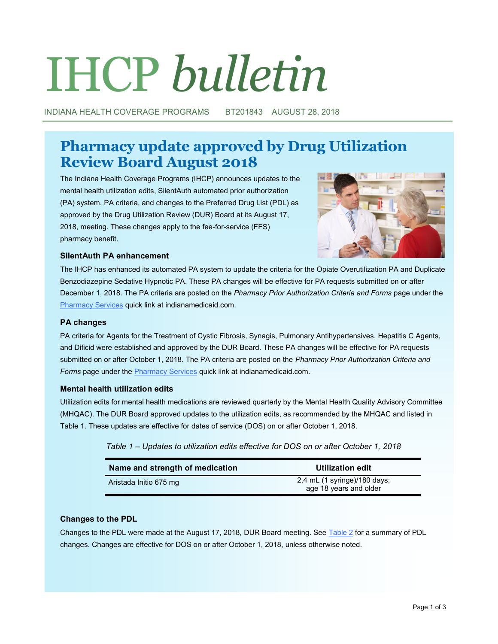# IHCP *bulletin*

INDIANA HEALTH COVERAGE PROGRAMS BT201843 AUGUST 28, 2018

# **Pharmacy update approved by Drug Utilization Review Board August 2018**

The Indiana Health Coverage Programs (IHCP) announces updates to the mental health utilization edits, SilentAuth automated prior authorization (PA) system, PA criteria, and changes to the Preferred Drug List (PDL) as approved by the Drug Utilization Review (DUR) Board at its August 17, 2018, meeting. These changes apply to the fee-for-service (FFS) pharmacy benefit.



# **SilentAuth PA enhancement**

The IHCP has enhanced its automated PA system to update the criteria for the Opiate Overutilization PA and Duplicate Benzodiazepine Sedative Hypnotic PA. These PA changes will be effective for PA requests submitted on or after December 1, 2018. The PA criteria are posted on the *Pharmacy Prior Authorization Criteria and Forms* page under the [Pharmacy Services](https://inm-providerportal.optum.com/providerportal/faces/PreLogin.jsp) quick link at indianamedicaid.com.

# **PA changes**

PA criteria for Agents for the Treatment of Cystic Fibrosis, Synagis, Pulmonary Antihypertensives, Hepatitis C Agents, and Dificid were established and approved by the DUR Board. These PA changes will be effective for PA requests submitted on or after October 1, 2018. The PA criteria are posted on the *Pharmacy Prior Authorization Criteria and Forms* page under the [Pharmacy Services](https://inm-providerportal.optum.com/providerportal/faces/PreLogin.jsp) quick link at indianamedicaid.com.

# **Mental health utilization edits**

Utilization edits for mental health medications are reviewed quarterly by the Mental Health Quality Advisory Committee (MHQAC). The DUR Board approved updates to the utilization edits, as recommended by the MHQAC and listed in Table 1. These updates are effective for dates of service (DOS) on or after October 1, 2018.

| Table 1 – Updates to utilization edits effective for DOS on or after October 1, 2018 |  |  |
|--------------------------------------------------------------------------------------|--|--|
|--------------------------------------------------------------------------------------|--|--|

| Name and strength of medication | Utilization edit                                       |
|---------------------------------|--------------------------------------------------------|
| Aristada Initio 675 mg          | 2.4 mL (1 syringe)/180 days;<br>age 18 years and older |

# **Changes to the PDL**

Changes to the PDL were made at the August 17, 2018, DUR Board meeting. See [Table 2](#page-1-0) for a summary of PDL changes. Changes are effective for DOS on or after October 1, 2018, unless otherwise noted.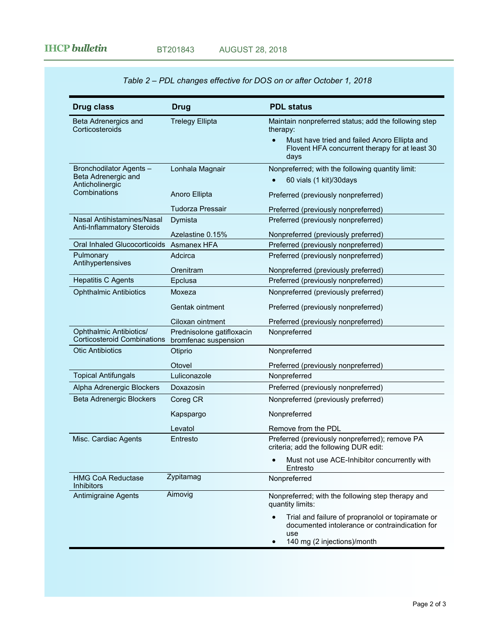<span id="page-1-0"></span>

| <b>Drug class</b>                                                    | Drug                                              | <b>PDL status</b>                                                                                                                              |
|----------------------------------------------------------------------|---------------------------------------------------|------------------------------------------------------------------------------------------------------------------------------------------------|
| Beta Adrenergics and<br>Corticosteroids                              | <b>Trelegy Ellipta</b>                            | Maintain nonpreferred status; add the following step<br>therapy:                                                                               |
|                                                                      |                                                   | Must have tried and failed Anoro Ellipta and<br>Flovent HFA concurrent therapy for at least 30<br>days                                         |
| Bronchodilator Agents -                                              | Lonhala Magnair                                   | Nonpreferred; with the following quantity limit:                                                                                               |
| Beta Adrenergic and<br>Anticholinergic                               |                                                   | 60 vials (1 kit)/30days                                                                                                                        |
| Combinations                                                         | Anoro Ellipta                                     | Preferred (previously nonpreferred)                                                                                                            |
|                                                                      | <b>Tudorza Pressair</b>                           | Preferred (previously nonpreferred)                                                                                                            |
| Nasal Antihistamines/Nasal<br>Anti-Inflammatory Steroids             | Dymista                                           | Preferred (previously nonpreferred)                                                                                                            |
|                                                                      | Azelastine 0.15%                                  | Nonpreferred (previously preferred)                                                                                                            |
| Oral Inhaled Glucocorticoids                                         | Asmanex HFA                                       | Preferred (previously nonpreferred)                                                                                                            |
| Pulmonary<br>Antihypertensives                                       | Adcirca                                           | Preferred (previously nonpreferred)                                                                                                            |
|                                                                      | Orenitram                                         | Nonpreferred (previously preferred)                                                                                                            |
| <b>Hepatitis C Agents</b>                                            | Epclusa                                           | Preferred (previously nonpreferred)                                                                                                            |
| <b>Ophthalmic Antibiotics</b>                                        | Moxeza                                            | Nonpreferred (previously preferred)                                                                                                            |
|                                                                      | Gentak ointment                                   | Preferred (previously nonpreferred)                                                                                                            |
|                                                                      | Ciloxan ointment                                  | Preferred (previously nonpreferred)                                                                                                            |
| <b>Ophthalmic Antibiotics/</b><br><b>Corticosteroid Combinations</b> | Prednisolone gatifloxacin<br>bromfenac suspension | Nonpreferred                                                                                                                                   |
| <b>Otic Antibiotics</b>                                              | Otiprio                                           | Nonpreferred                                                                                                                                   |
|                                                                      | Otovel                                            | Preferred (previously nonpreferred)                                                                                                            |
| <b>Topical Antifungals</b>                                           | Luliconazole                                      | Nonpreferred                                                                                                                                   |
| Alpha Adrenergic Blockers                                            | Doxazosin                                         | Preferred (previously nonpreferred)                                                                                                            |
| Beta Adrenergic Blockers                                             | Coreg CR                                          | Nonpreferred (previously preferred)                                                                                                            |
|                                                                      | Kapspargo                                         | Nonpreferred                                                                                                                                   |
|                                                                      | Levatol                                           | Remove from the PDL                                                                                                                            |
| Misc. Cardiac Agents                                                 | Entresto                                          | Preferred (previously nonpreferred); remove PA<br>criteria; add the following DUR edit:                                                        |
|                                                                      |                                                   | Must not use ACE-Inhibitor concurrently with<br>Entresto                                                                                       |
| <b>HMG CoA Reductase</b><br><b>Inhibitors</b>                        | Zypitamag                                         | Nonpreferred                                                                                                                                   |
| <b>Antimigraine Agents</b>                                           | Aimovig                                           | Nonpreferred; with the following step therapy and<br>quantity limits:                                                                          |
|                                                                      |                                                   | Trial and failure of propranolol or topiramate or<br>documented intolerance or contraindication for<br>use<br>140 mg (2 injections)/month<br>٠ |

# *Table 2 – PDL changes effective for DOS on or after October 1, 2018*